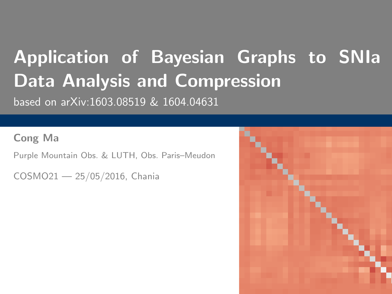# <span id="page-0-0"></span>Application of Bayesian Graphs to SNIa Data Analysis and Compression based on arXiv:1603.08519 & 1604.04631

Cong Ma

Purple Mountain Obs. & LUTH, Obs. Paris–Meudon

COSMO21 — 25/05/2016, Chania

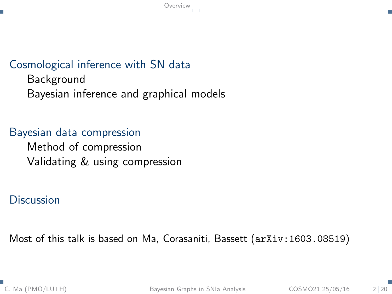### <span id="page-1-0"></span>[Cosmological inference with SN data](#page-2-0)

[Background](#page-2-0) [Bayesian inference and graphical models](#page-4-0)

### [Bayesian data compression](#page-13-0)

[Method of compression](#page-13-0) [Validating & using compression](#page-16-0)

#### **[Discussion](#page-21-0)**

Most of this talk is based on Ma, Corasaniti, Bassett (arXiv:1603.08519)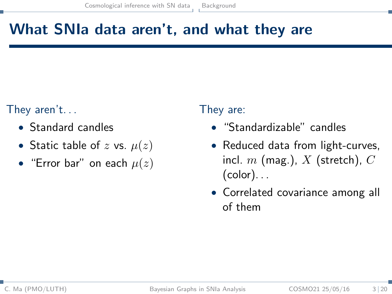# <span id="page-2-0"></span>What SNIa data aren't, and what they are

### They aren't. . .

- Standard candles
- Static table of z vs.  $\mu(z)$
- "Error bar" on each  $\mu(z)$

### They are:

- "Standardizable" candles
- Reduced data from light-curves, incl.  $m$  (mag.),  $X$  (stretch),  $C$  $(color)$ ...
- Correlated covariance among all of them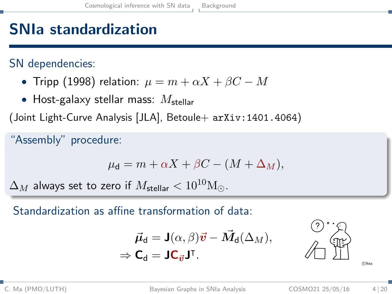# <span id="page-3-0"></span>SNIa standardization

SN dependencies:

- Tripp (1998) relation:  $\mu = m + \alpha X + \beta C M$
- Host-galaxy stellar mass:  $M_{\text{stellar}}$

(Joint Light-Curve Analysis [JLA], Betoule+  $arXiv:1401.4064$ )

"Assembly" procedure:

$$
\mu_{\mathbf{d}} = m + \alpha X + \beta C - (M + \Delta_M),
$$

 $\Delta_M$  always set to zero if  $M_{\text{stellar}} < 10^{10} \text{M}_{\odot}$ .

Standardization as affine transformation of data:

$$
\vec{\mu}_d = \mathbf{J}(\alpha, \beta)\vec{v} - \vec{M}_d(\Delta_M),
$$
  

$$
\Rightarrow \mathbf{C}_d = \mathbf{J}\mathbf{C}_{\vec{v}}\mathbf{J}^{\mathsf{T}}.
$$



c Ikea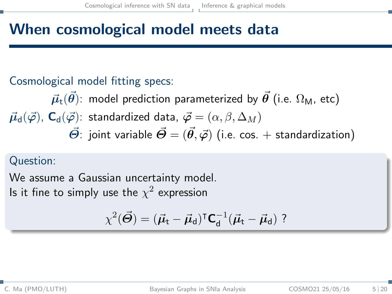## <span id="page-4-0"></span>When cosmological model meets data

### Cosmological model fitting specs:

 $\vec{\mu}_{\text{t}}(\vec{\theta})$ : model prediction parameterized by  $\vec{\theta}$  (i.e.  $\Omega_{\text{M}}$ , etc)  $\vec{\mu}_{d}(\vec{\varphi})$ ,  $C_{d}(\vec{\varphi})$ : standardized data,  $\vec{\varphi} = (\alpha, \beta, \Delta_M)$  $\vec{\Theta}$ : joint variable  $\vec{\Theta} = (\vec{\theta}, \vec{\varphi})$  (i.e. cos. + standardization)

#### Question:

We assume a Gaussian uncertainty model. Is it fine to simply use the  $\chi^2$  expression

$$
\chi^2(\vec{\boldsymbol{\Theta}}) = (\vec{\boldsymbol{\mu}}_t - \vec{\boldsymbol{\mu}}_d)^\intercal \boldsymbol{\mathsf{C}}_d^{-1} (\vec{\boldsymbol{\mu}}_t - \vec{\boldsymbol{\mu}}_d) \,\,?
$$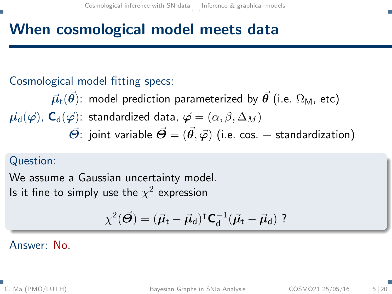## <span id="page-5-0"></span>When cosmological model meets data

### Cosmological model fitting specs:

 $\vec{\mu}_{+}(\vec{\theta})$ : model prediction parameterized by  $\vec{\theta}$  (i.e.  $\Omega_{\mathsf{M}}$ , etc)  $\vec{\mu}_{\rm d}(\vec{\varphi})$ ,  $\mathsf{C}_{\rm d}(\vec{\varphi})$ : standardized data,  $\vec{\varphi} = (\alpha, \beta, \Delta_M)$  $\vec{\Theta}$ : joint variable  $\vec{\Theta} = (\vec{\theta}, \vec{\varphi})$  (i.e. cos. + standardization)

### Question:

We assume a Gaussian uncertainty model. Is it fine to simply use the  $\chi^2$  expression

$$
\chi^2(\vec{\Theta}) = (\vec{\mu}_t - \vec{\mu}_d)^\intercal \textbf{C}_d^{-1}(\vec{\mu}_t - \vec{\mu}_d) \ ?
$$

#### Answer: No.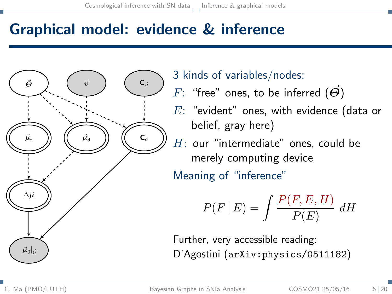## <span id="page-6-0"></span>Graphical model: evidence & inference



3 kinds of variables/nodes:

F: "free" ones, to be inferred  $(\vec{\Theta})$ 

E: "evident" ones, with evidence (data or belief, gray here)

 $H:$  our "intermediate" ones, could be merely computing device

Meaning of "inference"

$$
P(F | E) = \int \frac{P(F, E, H)}{P(E)} dH
$$

Further, very accessible reading: D'Agostini (arXiv:physics/0511182)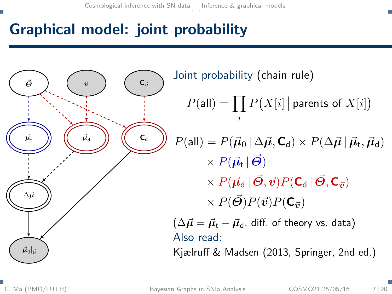# <span id="page-7-0"></span>Graphical model: joint probability



Joint probability (chain rule)

$$
P(\text{all}) = \prod_i P\big(X[i] \, \big| \text{ parents of } X[i]\big)
$$

 $P(\mathsf{all}) = P(\vec{\mu}_0 | \Delta \vec{\mu}, \mathsf{C_d}) \times P(\Delta \vec{\mu} | \vec{\mu}_\mathsf{t}, \vec{\mu}_\mathsf{d})$  $\times P(\vec{\mu}_{\rm t} | \vec{\Theta})$  $\times P(\vec{\mu}_{\rm d} | \vec{\Theta}, \vec{v}) P(\mathbf{C}_{\rm d} | \vec{\Theta}, \mathbf{C}_{\vec{\sigma}})$ 

 $\times P(\vec{\Theta})P(\vec{v})P(\mathbf{C}_{\vec{v}})$ 

 $(\Delta \vec{\mu} = \vec{\mu}_{t} - \vec{\mu}_{d}$ , diff. of theory vs. data) Also read:

Kjælruff & Madsen (2013, Springer, 2nd ed.)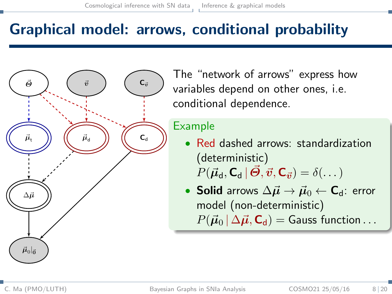## <span id="page-8-0"></span>Graphical model: arrows, conditional probability



The "network of arrows" express how variables depend on other ones, i.e. conditional dependence.

#### Example

- Red dashed arrows: standardization (deterministic)  $P(\vec{\mu}_{\mathsf{d}}, \mathsf{C}_{\mathsf{d}} | \vec{\boldsymbol{\Theta}}, \vec{v}, \mathsf{C}_{\vec{v}}) = \delta(\dots)$
- Solid arrows  $\Delta \vec{\mu} \rightarrow \vec{\mu}_0 \leftarrow C_d$ : error model (non-deterministic)  $P(\vec{\mu}_0 | \Delta \vec{\mu}, \mathbf{C}_d) =$  Gauss function ...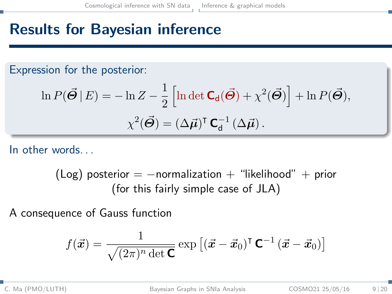# <span id="page-9-0"></span>Results for Bayesian inference

Expression for the posterior:

$$
\ln P(\vec{\Theta} | E) = -\ln Z - \frac{1}{2} \left[ \ln \det \mathbf{C}_{d}(\vec{\Theta}) + \chi^{2}(\vec{\Theta}) \right] + \ln P(\vec{\Theta}),
$$

$$
\chi^{2}(\vec{\Theta}) = (\Delta \vec{\mu})^{\mathsf{T}} \mathbf{C}_{d}^{-1}(\Delta \vec{\mu}).
$$

In other words. . .

 $(Log)$  posterior =  $-$ normalization + "likelihood" + prior (for this fairly simple case of JLA)

A consequence of Gauss function

$$
f(\vec{x}) = \frac{1}{\sqrt{(2\pi)^n \det \mathbf{C}}} \exp \left[ (\vec{x} - \vec{x}_0)^{\mathsf{T}} \mathbf{C}^{-1} (\vec{x} - \vec{x}_0) \right]
$$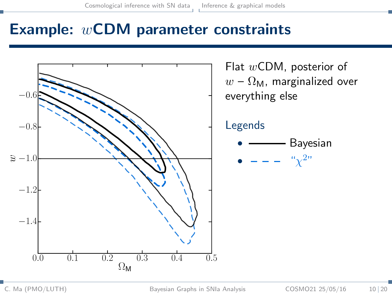### <span id="page-10-0"></span>Example: wCDM parameter constraints

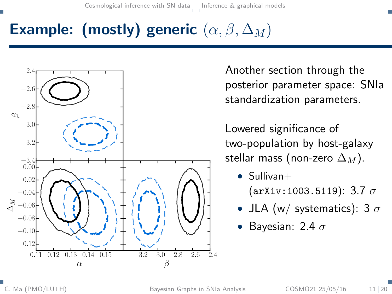# <span id="page-11-0"></span>Example: (mostly) generic  $(\alpha, \beta, \Delta_M)$



Another section through the posterior parameter space: SNIa standardization parameters.

Lowered significance of two-population by host-galaxy stellar mass (non-zero  $\Delta_M$ ).

- $\bullet$  Sullivan+  $(\text{arXiv}:1003.5119)$ : 3.7  $\sigma$
- JLA (w/ systematics): 3  $\sigma$
- Bayesian: 2.4  $\sigma$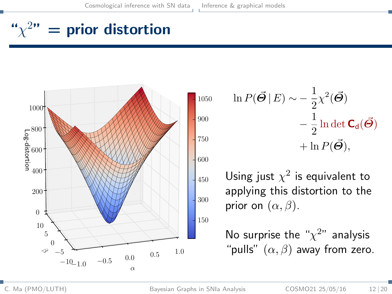# <span id="page-12-0"></span>" $\chi^{2n}$  = prior distortion



$$
\ln P(\vec{\Theta} | E) \sim -\frac{1}{2} \chi^2(\vec{\Theta})
$$

$$
-\frac{1}{2} \ln \det \mathbf{C}_d(\vec{\Theta})
$$

$$
+\ln P(\vec{\Theta}),
$$

Using just  $\chi^2$  is equivalent to applying this distortion to the prior on  $(\alpha, \beta)$ .

No surprise the " $\chi^{2}$ " analysis "pulls"  $(\alpha, \beta)$  away from zero.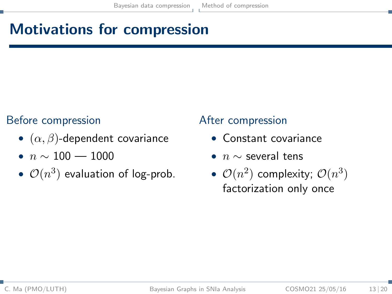# <span id="page-13-0"></span>Motivations for compression

### Before compression

- $(\alpha, \beta)$ -dependent covariance
- $n \sim 100 1000$
- $\mathcal{O}(n^3)$  evaluation of log-prob.

### After compression

- Constant covariance
- $n \sim$  several tens
- $\mathcal{O}(n^2)$  complexity;  $\mathcal{O}(n^3)$ factorization only once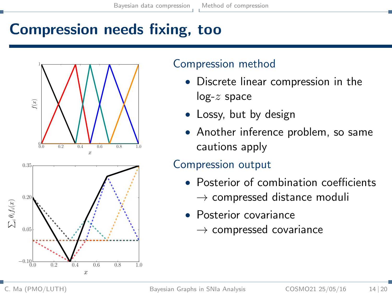# <span id="page-14-0"></span>Compression needs fixing, too



### Compression method

- Discrete linear compression in the  $log-z$  space
- Lossy, but by design
- Another inference problem, so same cautions apply

### Compression output

- Posterior of combination coefficients  $\rightarrow$  compressed distance moduli
- Posterior covariance
	- $\rightarrow$  compressed covariance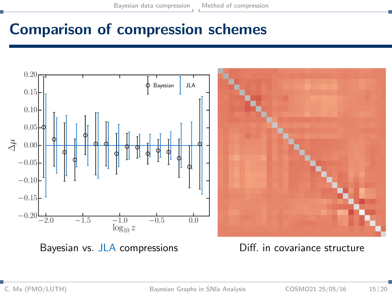## <span id="page-15-0"></span>Comparison of compression schemes

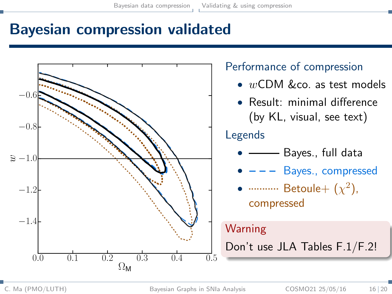## <span id="page-16-0"></span>Bayesian compression validated

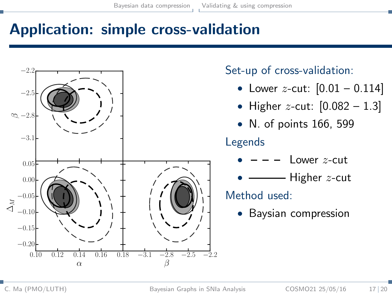## <span id="page-17-0"></span>Application: simple cross-validation



Set-up of cross-validation:

- Lower z-cut:  $[0.01 0.114]$
- Higher z-cut:  $[0.082 1.3]$
- N. of points 166, 599

### Legends

- $I$  ower  $z$ -cut
- Higher  $z$ -cut

Method used:

• Baysian compression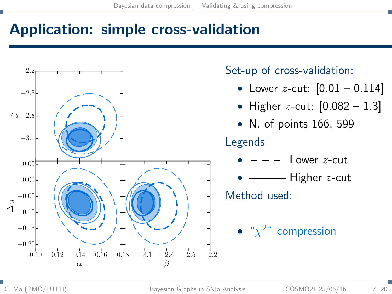## <span id="page-18-0"></span>Application: simple cross-validation

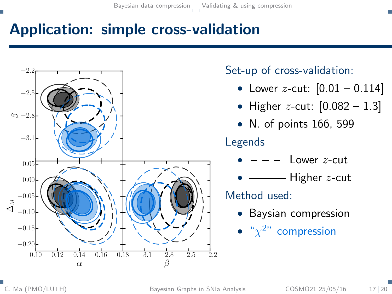## <span id="page-19-0"></span>Application: simple cross-validation



Set-up of cross-validation:

- Lower z-cut:  $[0.01 0.114]$
- Higher *z*-cut:  $[0.082 1.3]$
- N. of points 166, 599

### Legends

- $\frac{1}{2}$  ower *z*-cut
- Higher  $z$ -cut

Method used:

- Baysian compression
- $\bullet$  " $\chi^{2n}$  compression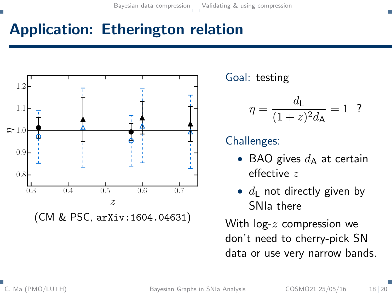# <span id="page-20-0"></span>Application: Etherington relation



Goal: testing

$$
\eta=\frac{d_{\rm L}}{(1+z)^2d_{\rm A}}=1~~?
$$

### Challenges:

- BAO gives  $d_{\mathbf{A}}$  at certain effective z
- $d_{\rm L}$  not directly given by SNIa there

With  $log-z$  compression we don't need to cherry-pick SN data or use very narrow bands.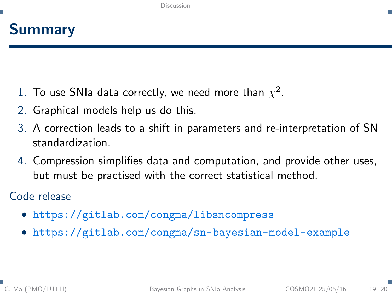## <span id="page-21-0"></span>Summary

- 1. To use SNIa data correctly, we need more than  $\chi^2.$
- 2. Graphical models help us do this.
- 3. A correction leads to a shift in parameters and re-interpretation of SN standardization.
- 4. Compression simplifies data and computation, and provide other uses, but must be practised with the correct statistical method.

Code release

- <https://gitlab.com/congma/libsncompress>
- <https://gitlab.com/congma/sn-bayesian-model-example>